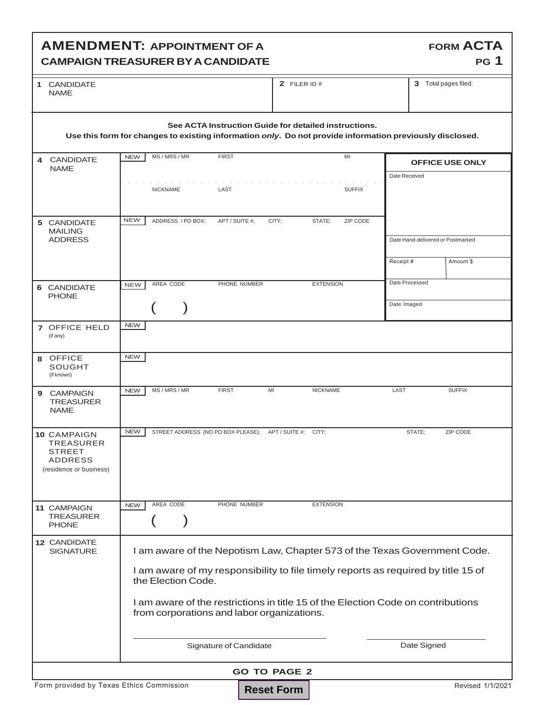## **AMENDMENT: APPOINTMENT OF A CAMPAIGN TREASURER BY A CANDIDATE**

| 1 | <b>CANDIDATE</b> |
|---|------------------|
|   | NAMF             |

**2** FILER ID # **3** Total pages filed:

**FORM ACTA**

**PG 1**

| See ACTA Instruction Guide for detailed instructions.<br>Use this form for changes to existing information only. Do not provide information previously disclosed.                                                                                                                                                                                          |            |                   |  |                                    |                      |                    |  |                                   |                        |
|------------------------------------------------------------------------------------------------------------------------------------------------------------------------------------------------------------------------------------------------------------------------------------------------------------------------------------------------------------|------------|-------------------|--|------------------------------------|----------------------|--------------------|--|-----------------------------------|------------------------|
| 4 CANDIDATE                                                                                                                                                                                                                                                                                                                                                | <b>NEW</b> | MS / MRS / MR     |  | <b>FIRST</b>                       |                      | MI                 |  |                                   | <b>OFFICE USE ONLY</b> |
| <b>NAME</b>                                                                                                                                                                                                                                                                                                                                                |            |                   |  |                                    |                      |                    |  | Date Received                     |                        |
|                                                                                                                                                                                                                                                                                                                                                            |            | <b>NICKNAME</b>   |  | LAST                               |                      | <b>SUFFIX</b>      |  |                                   |                        |
| 5 CANDIDATE<br><b>MAILING</b>                                                                                                                                                                                                                                                                                                                              | <b>NEW</b> | ADDRESS / PO BOX: |  | APT / SUITE #;                     | CITY:                | STATE;<br>ZIP CODE |  |                                   |                        |
| <b>ADDRESS</b>                                                                                                                                                                                                                                                                                                                                             |            |                   |  |                                    |                      |                    |  | Date Hand-delivered or Postmarked |                        |
|                                                                                                                                                                                                                                                                                                                                                            |            |                   |  |                                    |                      |                    |  | Receipt#                          | Amount \$              |
| 6 CANDIDATE                                                                                                                                                                                                                                                                                                                                                | <b>NEW</b> | AREA CODE         |  | PHONE NUMBER                       |                      | <b>EXTENSION</b>   |  | Date Processed                    |                        |
| <b>PHONE</b>                                                                                                                                                                                                                                                                                                                                               |            |                   |  |                                    |                      |                    |  | Date Imaged                       |                        |
| 7 OFFICE HELD<br>(if any)                                                                                                                                                                                                                                                                                                                                  | <b>NEW</b> |                   |  |                                    |                      |                    |  |                                   |                        |
| <b>OFFICE</b><br>8<br><b>SOUGHT</b><br>(if known)                                                                                                                                                                                                                                                                                                          | <b>NEW</b> |                   |  |                                    |                      |                    |  |                                   |                        |
| CAMPAIGN<br>9<br><b>TREASURER</b><br><b>NAME</b>                                                                                                                                                                                                                                                                                                           | <b>NEW</b> | MS / MRS / MR     |  | <b>FIRST</b>                       | MI                   | <b>NICKNAME</b>    |  | LAST                              | <b>SUFFIX</b>          |
| 10 CAMPAIGN<br><b>TREASURER</b><br><b>STREET</b><br><b>ADDRESS</b><br>(residence or business)                                                                                                                                                                                                                                                              | <b>NEW</b> |                   |  | STREET ADDRESS (NO PO BOX PLEASE); | APT / SUITE #; CITY; |                    |  | STATE:                            | ZIP CODE               |
| 11 CAMPAIGN                                                                                                                                                                                                                                                                                                                                                | NEW        | AREA CODE         |  | PHONE NUMBER                       |                      | <b>EXTENSION</b>   |  |                                   |                        |
| <b>TREASURER</b><br><b>PHONE</b>                                                                                                                                                                                                                                                                                                                           |            |                   |  |                                    |                      |                    |  |                                   |                        |
| 12 CANDIDATE<br>I am aware of the Nepotism Law, Chapter 573 of the Texas Government Code.<br><b>SIGNATURE</b><br>I am aware of my responsibility to file timely reports as required by title 15 of<br>the Election Code.<br>I am aware of the restrictions in title 15 of the Election Code on contributions<br>from corporations and labor organizations. |            |                   |  |                                    |                      |                    |  |                                   |                        |
|                                                                                                                                                                                                                                                                                                                                                            |            |                   |  |                                    |                      |                    |  |                                   |                        |
|                                                                                                                                                                                                                                                                                                                                                            |            |                   |  | Signature of Candidate             |                      |                    |  | Date Signed                       |                        |
| <b>GO TO PAGE 2</b>                                                                                                                                                                                                                                                                                                                                        |            |                   |  |                                    |                      |                    |  |                                   |                        |
| Form provided by Texas Ethics Commission<br>Revised 1/1/2021<br><b>Reset Form</b>                                                                                                                                                                                                                                                                          |            |                   |  |                                    |                      |                    |  |                                   |                        |